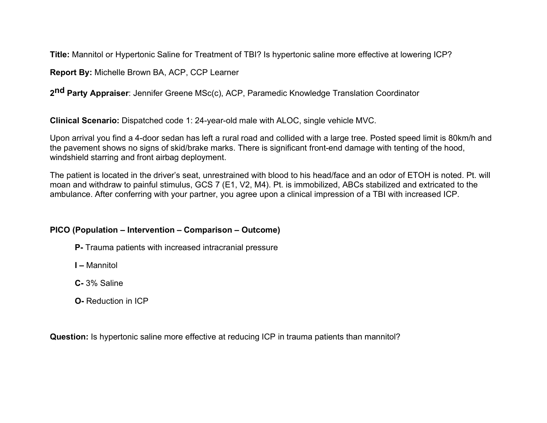**Title:** Mannitol or Hypertonic Saline for Treatment of TBI? Is hypertonic saline more effective at lowering ICP?

**Report By:** Michelle Brown BA, ACP, CCP Learner

**2nd Party Appraiser**: Jennifer Greene MSc(c), ACP, Paramedic Knowledge Translation Coordinator

**Clinical Scenario:** Dispatched code 1: 24-year-old male with ALOC, single vehicle MVC.

Upon arrival you find a 4-door sedan has left a rural road and collided with a large tree. Posted speed limit is 80km/h and the pavement shows no signs of skid/brake marks. There is significant front-end damage with tenting of the hood, windshield starring and front airbag deployment.

The patient is located in the driver's seat, unrestrained with blood to his head/face and an odor of ETOH is noted. Pt. will moan and withdraw to painful stimulus, GCS 7 (E1, V2, M4). Pt. is immobilized, ABCs stabilized and extricated to the ambulance. After conferring with your partner, you agree upon a clinical impression of a TBI with increased ICP.

# **PICO (Population – Intervention – Comparison – Outcome)**

- **P-** Trauma patients with increased intracranial pressure
- **I –** Mannitol
- **C-** 3% Saline
- **O-** Reduction in ICP

**Question:** Is hypertonic saline more effective at reducing ICP in trauma patients than mannitol?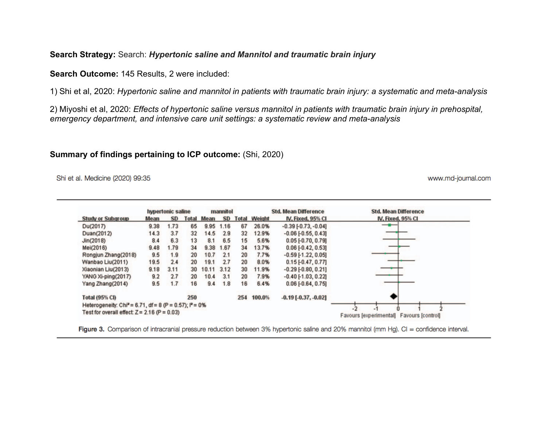#### **Search Strategy:** Search: *Hypertonic saline and Mannitol and traumatic brain injury*

**Search Outcome:** 145 Results, 2 were included:

1) Shi et al, 2020: *Hypertonic saline and mannitol in patients with traumatic brain injury: a systematic and meta-analysis*

2) Miyoshi et al, 2020: *Effects of hypertonic saline versus mannitol in patients with traumatic brain injury in prehospital, emergency department, and intensive care unit settings: a systematic review and meta-analysis*

#### **Summary of findings pertaining to ICP outcome:** (Shi, 2020)

Shi et al. Medicine (2020) 99:35

www.md-journal.com

|                                                                      | <b>hypertonic saline</b> |      |     | mannitol          |                 |     | <b>Std. Mean Difference</b> |                              | <b>Std. Mean Difference</b>              |
|----------------------------------------------------------------------|--------------------------|------|-----|-------------------|-----------------|-----|-----------------------------|------------------------------|------------------------------------------|
| <b>Study or Subgroup</b>                                             | <b>Mean</b>              | SD.  |     | <b>Total Mean</b> | SD <sub>1</sub> |     | <b>Total Weight</b>         | IV, Fixed, 95% CI            | IV, Fixed, 95% CI                        |
| Du(2017)                                                             | 9.38                     | 1.73 | 65  | 9.95              | 1.16            | 67  | 26.0%                       | $-0.39[-0.73, -0.04]$        | —                                        |
| Duan(2012)                                                           | 14.3                     | 3.7  | 32  | 14.5              | 2.9             | 32  | 12.9%                       | $-0.06$ [ $-0.55$ , $0.43$ ] |                                          |
| Jin(2018)                                                            | 8.4                      | 6.3  | 13  | 8.1               | 6.5             | 15  | 5.6%                        | $0.05$ [-0.70, 0.79]         |                                          |
| Mei(2016)                                                            | 9.48                     | 1.79 | 34  | 9.38              | 1.67            | 34  | 13.7%                       | $0.06$ [ $-0.42$ , $0.53$ ]  |                                          |
| Rongjun Zhang(2018)                                                  | 9.5                      | 1.9  | 20  | 10.7              | 2.1             | 20  | 7.7%                        | $-0.59$ [-1.22, 0.05]        |                                          |
| Wanbao Liu(2011)                                                     | 19.5                     | 2.4  | 20  | 19.1              | 2.7             | 20  | 8.0%                        | $0.15$ [-0.47, 0.77]         |                                          |
| Xiaonian Liu(2013)                                                   | 9.18                     | 3.11 | 30  | 10.11             | 3.12            | 30  | 11.9%                       | $-0.29$ $[-0.80, 0.21]$      |                                          |
| YANG Xi-ping(2017)                                                   | 9.2                      | 2.7  | 20  | 10.4              | 3.1             | 20  | 7.9%                        | $-0.40$ [ $-1.03$ , $0.22$ ] |                                          |
| Yang Zhang(2014)                                                     | 9.5                      | 1.7  | 16  | 9.4               | 1.8             | 16  | 6.4%                        | $0.06$ [-0.64, 0.75]         |                                          |
| <b>Total (95% CI)</b>                                                |                          |      | 250 |                   |                 | 254 | 100.0%                      | $-0.19$ [ $-0.37, -0.02$ ]   |                                          |
| Heterogeneity: Chi <sup>2</sup> = 6.71, df = 8 (P = 0.57); $P = 0\%$ |                          |      |     |                   |                 |     |                             |                              |                                          |
| Test for overall effect: $Z = 2.16$ (P = 0.03)                       |                          |      |     |                   |                 |     |                             |                              | Favours [experimental] Favours [control] |

Figure 3. Comparison of intracranial pressure reduction between 3% hypertonic saline and 20% mannitol (mm Hg). CI = confidence interval.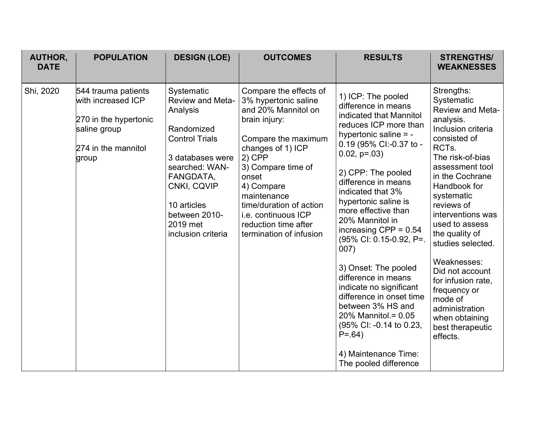| <b>AUTHOR,</b><br><b>DATE</b> | <b>POPULATION</b>                                                                                                  | <b>DESIGN (LOE)</b>                                                                                                                                                                                                          | <b>OUTCOMES</b>                                                                                                                                                                                                                                                                                                 | <b>RESULTS</b>                                                                                                                                                                                                                                                                                                                                                                                                                                                                                                                                                                                                        | <b>STRENGTHS/</b><br><b>WEAKNESSES</b>                                                                                                                                                                                                                                                                                                                                                                                                                                  |
|-------------------------------|--------------------------------------------------------------------------------------------------------------------|------------------------------------------------------------------------------------------------------------------------------------------------------------------------------------------------------------------------------|-----------------------------------------------------------------------------------------------------------------------------------------------------------------------------------------------------------------------------------------------------------------------------------------------------------------|-----------------------------------------------------------------------------------------------------------------------------------------------------------------------------------------------------------------------------------------------------------------------------------------------------------------------------------------------------------------------------------------------------------------------------------------------------------------------------------------------------------------------------------------------------------------------------------------------------------------------|-------------------------------------------------------------------------------------------------------------------------------------------------------------------------------------------------------------------------------------------------------------------------------------------------------------------------------------------------------------------------------------------------------------------------------------------------------------------------|
| Shi, 2020                     | 544 trauma patients<br>with increased ICP<br>270 in the hypertonic<br>saline group<br>274 in the mannitol<br>group | Systematic<br><b>Review and Meta-</b><br>Analysis<br>Randomized<br><b>Control Trials</b><br>3 databases were<br>searched: WAN-<br>FANGDATA,<br>CNKI, CQVIP<br>10 articles<br>between 2010-<br>2019 met<br>inclusion criteria | Compare the effects of<br>3% hypertonic saline<br>and 20% Mannitol on<br>brain injury:<br>Compare the maximum<br>changes of 1) ICP<br>$2)$ CPP<br>3) Compare time of<br>onset<br>4) Compare<br>maintenance<br>time/duration of action<br>i.e. continuous ICP<br>reduction time after<br>termination of infusion | 1) ICP: The pooled<br>difference in means<br>indicated that Mannitol<br>reduces ICP more than<br>hypertonic saline = -<br>0.19 (95% CI:-0.37 to -<br>$0.02$ , $p=.03$ )<br>2) CPP: The pooled<br>difference in means<br>indicated that 3%<br>hypertonic saline is<br>more effective than<br>20% Mannitol in<br>increasing $CPP = 0.54$<br>(95% CI: 0.15-0.92, P=.<br>007)<br>3) Onset: The pooled<br>difference in means<br>indicate no significant<br>difference in onset time<br>between 3% HS and<br>20% Mannitol. = 0.05<br>(95% CI: -0.14 to 0.23,<br>$P = .64$<br>4) Maintenance Time:<br>The pooled difference | Strengths:<br>Systematic<br><b>Review and Meta-</b><br>analysis.<br>Inclusion criteria<br>consisted of<br>RCT <sub>s</sub> .<br>The risk-of-bias<br>assessment tool<br>in the Cochrane<br>Handbook for<br>systematic<br>reviews of<br>interventions was<br>used to assess<br>the quality of<br>studies selected.<br>Weaknesses:<br>Did not account<br>for infusion rate,<br>frequency or<br>mode of<br>administration<br>when obtaining<br>best therapeutic<br>effects. |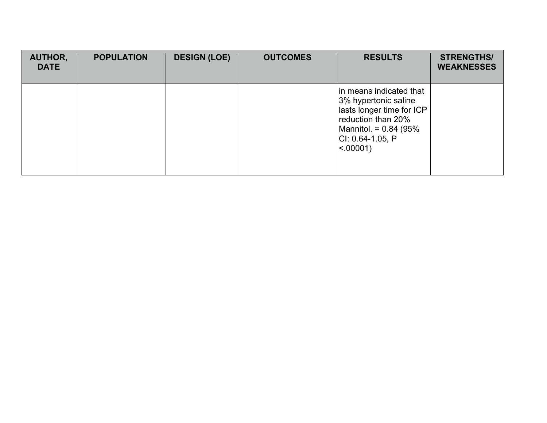| <b>AUTHOR,</b><br><b>DATE</b> | <b>POPULATION</b> | <b>DESIGN (LOE)</b> | <b>OUTCOMES</b> | <b>RESULTS</b>                                                                                                                                                     | <b>STRENGTHS/</b><br><b>WEAKNESSES</b> |
|-------------------------------|-------------------|---------------------|-----------------|--------------------------------------------------------------------------------------------------------------------------------------------------------------------|----------------------------------------|
|                               |                   |                     |                 | in means indicated that<br>3% hypertonic saline<br>lasts longer time for ICP<br>reduction than 20%<br>Mannitol. = $0.84$ (95%)<br>CI: 0.64-1.05, P<br>$< .00001$ ) |                                        |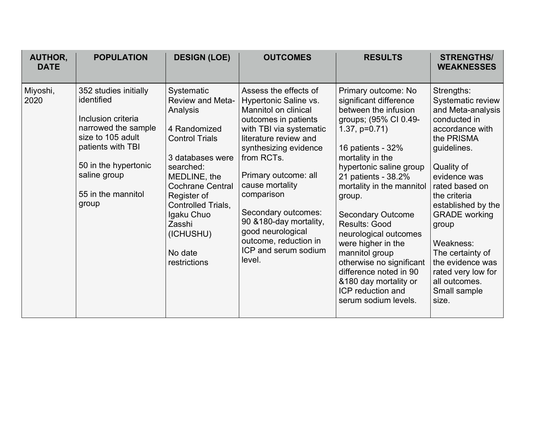| AUTHOR,<br><b>DATE</b> | <b>POPULATION</b>                                                                                                                                                                                 | <b>DESIGN (LOE)</b>                                                                                                                                                                                                                                                         | <b>OUTCOMES</b>                                                                                                                                                                                                                                                                                                                                                                                   | <b>RESULTS</b>                                                                                                                                                                                                                                                                                                                                                                                                                                                                               | <b>STRENGTHS/</b><br><b>WEAKNESSES</b>                                                                                                                                                                                                                                                                                                                           |
|------------------------|---------------------------------------------------------------------------------------------------------------------------------------------------------------------------------------------------|-----------------------------------------------------------------------------------------------------------------------------------------------------------------------------------------------------------------------------------------------------------------------------|---------------------------------------------------------------------------------------------------------------------------------------------------------------------------------------------------------------------------------------------------------------------------------------------------------------------------------------------------------------------------------------------------|----------------------------------------------------------------------------------------------------------------------------------------------------------------------------------------------------------------------------------------------------------------------------------------------------------------------------------------------------------------------------------------------------------------------------------------------------------------------------------------------|------------------------------------------------------------------------------------------------------------------------------------------------------------------------------------------------------------------------------------------------------------------------------------------------------------------------------------------------------------------|
| Miyoshi,<br>2020       | 352 studies initially<br>identified<br>Inclusion criteria<br>narrowed the sample<br>size to 105 adult<br>patients with TBI<br>50 in the hypertonic<br>saline group<br>55 in the mannitol<br>group | Systematic<br><b>Review and Meta-</b><br>Analysis<br>4 Randomized<br><b>Control Trials</b><br>3 databases were<br>searched:<br>MEDLINE, the<br><b>Cochrane Central</b><br>Register of<br>Controlled Trials,<br>Igaku Chuo<br>Zasshi<br>(ICHUSHU)<br>No date<br>restrictions | Assess the effects of<br>Hypertonic Saline vs.<br>Mannitol on clinical<br>outcomes in patients<br>with TBI via systematic<br>literature review and<br>synthesizing evidence<br>from RCT <sub>s</sub> .<br>Primary outcome: all<br>cause mortality<br>comparison<br>Secondary outcomes:<br>90 & 180-day mortality,<br>good neurological<br>outcome, reduction in<br>ICP and serum sodium<br>level. | Primary outcome: No<br>significant difference<br>between the infusion<br>groups; (95% CI 0.49-<br>$1.37, p=0.71$<br>16 patients - 32%<br>mortality in the<br>hypertonic saline group<br>21 patients - 38.2%<br>mortality in the mannitol<br>group.<br><b>Secondary Outcome</b><br>Results: Good<br>neurological outcomes<br>were higher in the<br>mannitol group<br>otherwise no significant<br>difference noted in 90<br>&180 day mortality or<br>ICP reduction and<br>serum sodium levels. | Strengths:<br>Systematic review<br>and Meta-analysis<br>conducted in<br>accordance with<br>the PRISMA<br>guidelines.<br>Quality of<br>evidence was<br>rated based on<br>the criteria<br>established by the<br><b>GRADE</b> working<br>group<br>Weakness:<br>The certainty of<br>the evidence was<br>rated very low for<br>all outcomes.<br>Small sample<br>size. |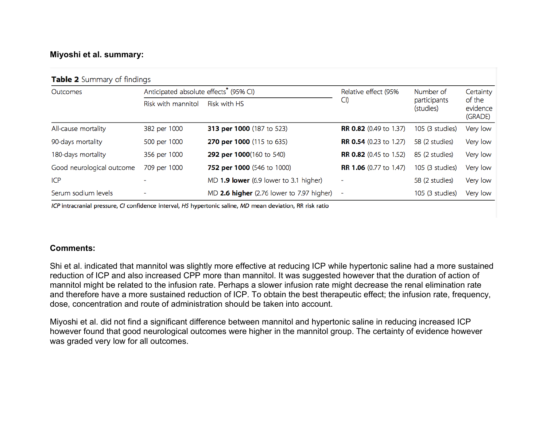# **Miyoshi et al. summary:**

| <b>Table 2</b> Summary of findings |                                                    |                                           |                               |                                        |                                            |  |  |  |
|------------------------------------|----------------------------------------------------|-------------------------------------------|-------------------------------|----------------------------------------|--------------------------------------------|--|--|--|
| Outcomes                           | Anticipated absolute effects <sup>*</sup> (95% CI) |                                           | Relative effect (95%          | Number of<br>participants<br>(studies) | Certainty<br>of the<br>evidence<br>(GRADE) |  |  |  |
|                                    | Risk with mannitol                                 | <b>Risk with HS</b>                       | CI)                           |                                        |                                            |  |  |  |
| All-cause mortality                | 382 per 1000                                       | 313 per 1000 (187 to 523)                 | <b>RR 0.82</b> (0.49 to 1.37) | 105 (3 studies)                        | Very low                                   |  |  |  |
| 90-days mortality                  | 500 per 1000                                       | 270 per 1000 (115 to 635)                 | <b>RR 0.54</b> (0.23 to 1.27) | 58 (2 studies)                         | Very low                                   |  |  |  |
| 180-days mortality                 | 356 per 1000                                       | 292 per 1000(160 to 540)                  | <b>RR 0.82</b> (0.45 to 1.52) | 85 (2 studies)                         | Very low                                   |  |  |  |
| Good neurological outcome          | 709 per 1000                                       | 752 per 1000 (546 to 1000)                | <b>RR 1.06</b> (0.77 to 1.47) | 105 (3 studies)                        | Very low                                   |  |  |  |
| ICP                                |                                                    | MD 1.9 lower (6.9 lower to 3.1 higher)    | ۰                             | 58 (2 studies)                         | Very low                                   |  |  |  |
| Serum sodium levels                |                                                    | MD 2.6 higher (2.76 lower to 7.97 higher) | $\overline{\phantom{0}}$      | 105 (3 studies)                        | Very low                                   |  |  |  |

ICP intracranial pressure, CI confidence interval, HS hypertonic saline, MD mean deviation, RR risk ratio

#### **Comments:**

Shi et al. indicated that mannitol was slightly more effective at reducing ICP while hypertonic saline had a more sustained reduction of ICP and also increased CPP more than mannitol. It was suggested however that the duration of action of mannitol might be related to the infusion rate. Perhaps a slower infusion rate might decrease the renal elimination rate and therefore have a more sustained reduction of ICP. To obtain the best therapeutic effect; the infusion rate, frequency, dose, concentration and route of administration should be taken into account.

Miyoshi et al. did not find a significant difference between mannitol and hypertonic saline in reducing increased ICP however found that good neurological outcomes were higher in the mannitol group. The certainty of evidence however was graded very low for all outcomes.